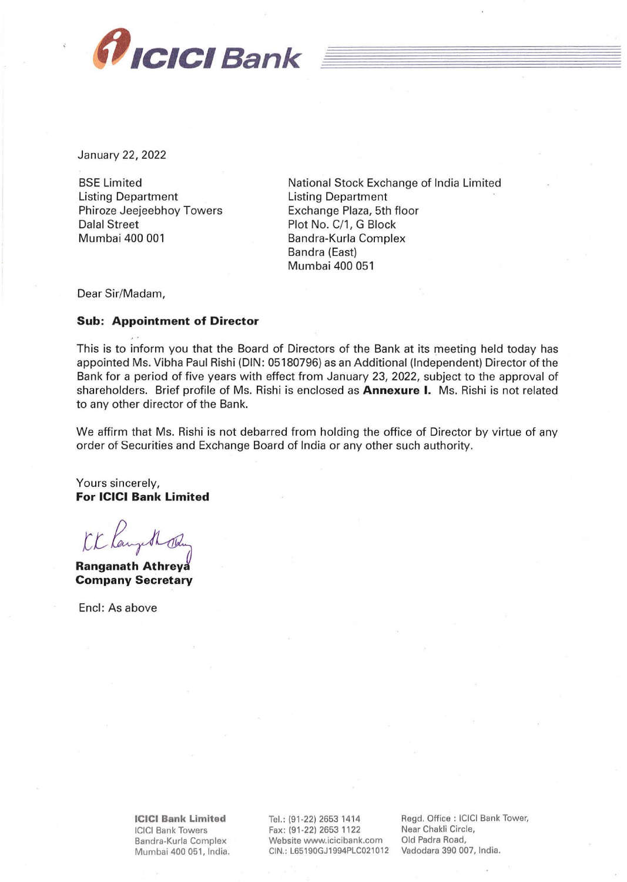

January 22, 2022

BSE Limited Listing Department Phiroze Jeejeebhoy Towers Dalal Street Mumbai 400 001

National Stock Exchange of India Limited Listing Department Exchange Plaza, 5th floor Plot No. C/1, G Block Bandra-Kurla Complex Bandra (East) Mumbai 400 051

Dear Sir/Madam,

## **Sub: Appointment of Director**

This is to inform you that the Board of Directors of the Bank at its meeting held today has appointed Ms. Vibha Paul Rishi (DIN: 05180796) as an Additional (Independent) Director of the Bank for a period of five years with effect from January 23, 2022, subject to the approval of shareholders. Brief profile of Ms. Rishi is enclosed as **Annexure** I. Ms. Rishi is not related to any other director of the Bank.

We affirm that Ms. Rishi is not debarred from holding the office of Director by virtue of any order of Securities and Exchange Board of India or any other such authority.

Yours sincerely, **For ICICI Bank Limited** 

CK Kangelh The

**Company Secretary** 

Encl: As above

**ICICI Bank Limited**  ICICI Bank Towers Bandra-Kurla Complex Mumbai 400 051, India. Tel.: (91 -22) 2653 1414 Fax: (91-22) 2653 1122 Website www.icicibank.com CIN.: L65190GJ1994PLC021012

Regd. Office : ICICI Bank Tower, Near Chakli Circle, Old Padra Road, Vadodara 390 007, India.